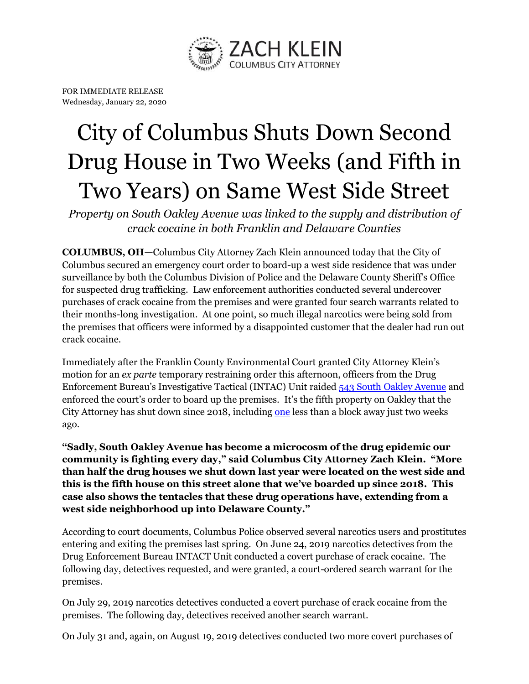

FOR IMMEDIATE RELEASE Wednesday, January 22, 2020

## City of Columbus Shuts Down Second Drug House in Two Weeks (and Fifth in Two Years) on Same West Side Street

*Property on South Oakley Avenue was linked to the supply and distribution of crack cocaine in both Franklin and Delaware Counties*

**COLUMBUS, OH—**Columbus City Attorney Zach Klein announced today that the City of Columbus secured an emergency court order to board-up a west side residence that was under surveillance by both the Columbus Division of Police and the Delaware County Sheriff's Office for suspected drug trafficking. Law enforcement authorities conducted several undercover purchases of crack cocaine from the premises and were granted four search warrants related to their months-long investigation. At one point, so much illegal narcotics were being sold from the premises that officers were informed by a disappointed customer that the dealer had run out crack cocaine.

Immediately after the Franklin County Environmental Court granted City Attorney Klein's motion for an *ex parte* temporary restraining order this afternoon, officers from the Drug Enforcement Bureau's Investigative Tactical (INTAC) Unit raided [543 South Oakley Avenue](https://www.google.com/maps/place/543+S+Oakley+Ave,+Columbus,+OH+43204/@39.9441703,-83.0643129,17z/data=!3m1!4b1!4m5!3m4!1s0x88388ff3e9b2385f:0x9a4e497af637cbb8!8m2!3d39.9441703!4d-83.0621242) and enforced the court's order to board up the premises. It's the fifth property on Oakley that the City Attorney has shut down since 2018, including [one](http://www.columbuscityattorney.org/pdf/press/628_S_Oakley.pdf) less than a block away just two weeks ago.

**"Sadly, South Oakley Avenue has become a microcosm of the drug epidemic our community is fighting every day," said Columbus City Attorney Zach Klein. "More than half the drug houses we shut down last year were located on the west side and this is the fifth house on this street alone that we've boarded up since 2018. This case also shows the tentacles that these drug operations have, extending from a west side neighborhood up into Delaware County."**

According to court documents, Columbus Police observed several narcotics users and prostitutes entering and exiting the premises last spring. On June 24, 2019 narcotics detectives from the Drug Enforcement Bureau INTACT Unit conducted a covert purchase of crack cocaine. The following day, detectives requested, and were granted, a court-ordered search warrant for the premises.

On July 29, 2019 narcotics detectives conducted a covert purchase of crack cocaine from the premises. The following day, detectives received another search warrant.

On July 31 and, again, on August 19, 2019 detectives conducted two more covert purchases of